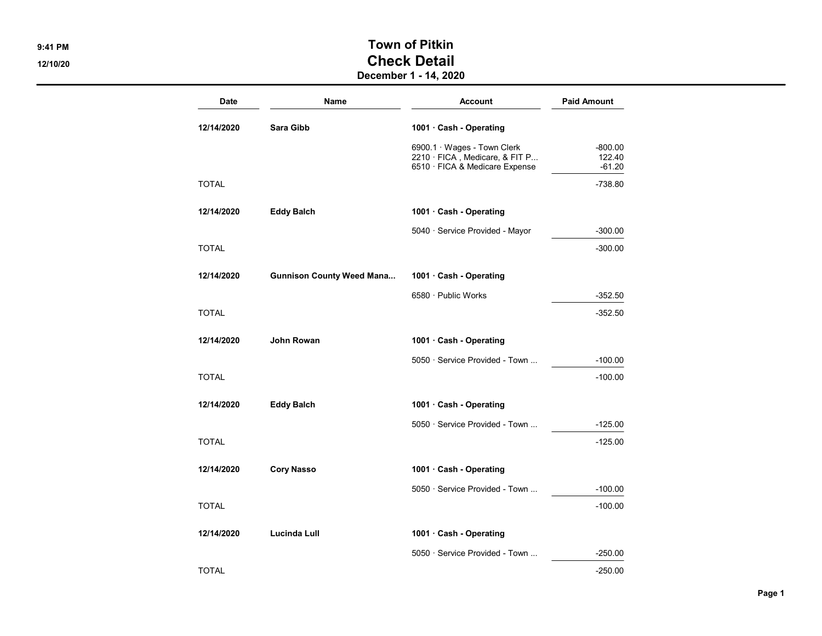## 9:41 PM SALES AND TOWN OF PITKIN 12/10/20 Check Detail

## December 1 - 14, 2020

| <b>Date</b>  | <b>Name</b>                      | <b>Account</b>                                                                                        | <b>Paid Amount</b>              |
|--------------|----------------------------------|-------------------------------------------------------------------------------------------------------|---------------------------------|
| 12/14/2020   | Sara Gibb                        | 1001 · Cash - Operating                                                                               |                                 |
|              |                                  | 6900.1 · Wages - Town Clerk<br>$2210 \cdot$ FICA, Medicare, & FIT P<br>6510 · FICA & Medicare Expense | $-800.00$<br>122.40<br>$-61.20$ |
| <b>TOTAL</b> |                                  |                                                                                                       | $-738.80$                       |
| 12/14/2020   | <b>Eddy Balch</b>                | 1001 · Cash - Operating                                                                               |                                 |
|              |                                  | 5040 · Service Provided - Mayor                                                                       | $-300.00$                       |
| <b>TOTAL</b> |                                  |                                                                                                       | $-300.00$                       |
| 12/14/2020   | <b>Gunnison County Weed Mana</b> | 1001 · Cash - Operating                                                                               |                                 |
|              |                                  | 6580 · Public Works                                                                                   | $-352.50$                       |
| <b>TOTAL</b> |                                  |                                                                                                       | $-352.50$                       |
| 12/14/2020   | John Rowan                       | 1001 · Cash - Operating                                                                               |                                 |
|              |                                  | 5050 · Service Provided - Town                                                                        | $-100.00$                       |
| <b>TOTAL</b> |                                  |                                                                                                       | $-100.00$                       |
| 12/14/2020   | <b>Eddy Balch</b>                | 1001 Cash - Operating                                                                                 |                                 |
|              |                                  | 5050 · Service Provided - Town                                                                        | $-125.00$                       |
| <b>TOTAL</b> |                                  |                                                                                                       | $-125.00$                       |
| 12/14/2020   | <b>Cory Nasso</b>                | 1001 · Cash - Operating                                                                               |                                 |
|              |                                  | 5050 · Service Provided - Town                                                                        | $-100.00$                       |
| <b>TOTAL</b> |                                  |                                                                                                       | $-100.00$                       |
| 12/14/2020   | <b>Lucinda Lull</b>              | 1001 · Cash - Operating                                                                               |                                 |
|              |                                  | 5050 · Service Provided - Town                                                                        | $-250.00$                       |
| <b>TOTAL</b> |                                  |                                                                                                       | $-250.00$                       |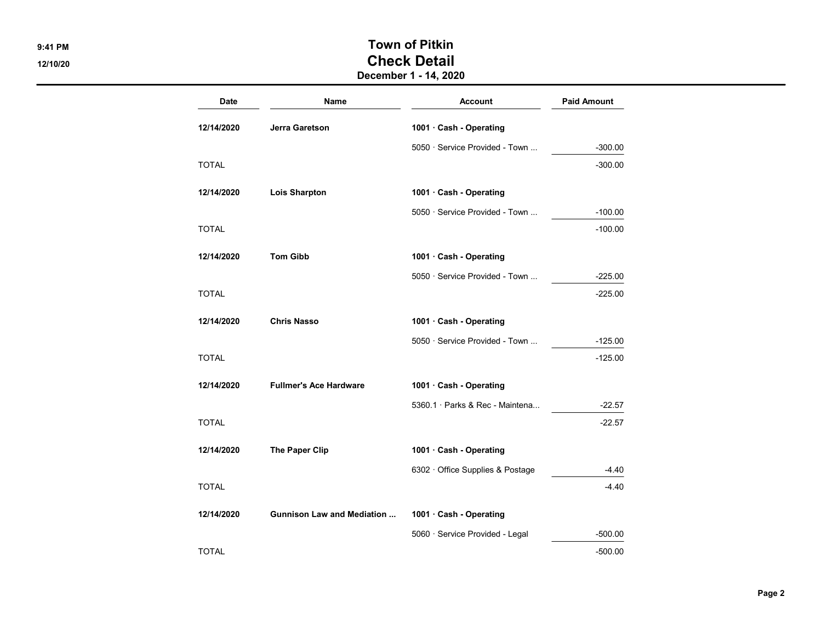## 9:41 PM SALES TOWN OF PITKIN 12/10/20 Check Detail December 1 - 14, 2020

Date **Name Name** Account **Paid Amount** 12/14/2020 Jerra Garetson 1001 · Cash - Operating 5050 · Service Provided - Town ... - -300.00  $\blacksquare$  TOTAL  $\blacksquare$ 12/14/2020 Lois Sharpton 1001 · Cash - Operating 5050 · Service Provided - Town ... - -100.00 TOTAL -100.00 12/14/2020 Tom Gibb 1001 · Cash - Operating 5050 · Service Provided - Town ... - - 225.00  $\blacksquare$  TOTAL  $\blacksquare$ 12/14/2020 Chris Nasso 1001 · Cash - Operating 5050 · Service Provided - Town ... - 125.00  $\blacksquare$  TOTAL  $\blacksquare$ 12/14/2020 Fullmer's Ace Hardware 1001 · Cash - Operating 5360.1 · Parks & Rec - Maintena... - -22.57  $\blacksquare$  TOTAL  $\blacksquare$ 12/14/2020 The Paper Clip 1001 · Cash - Operating 6302 · Office Supplies & Postage 4.40  $\blacksquare$  TOTAL  $\blacksquare$ 12/14/2020 Gunnison Law and Mediation ... 1001 · Cash - Operating 5060 · Service Provided - Legal -500.00  $\blacksquare$  TOTAL  $\blacksquare$